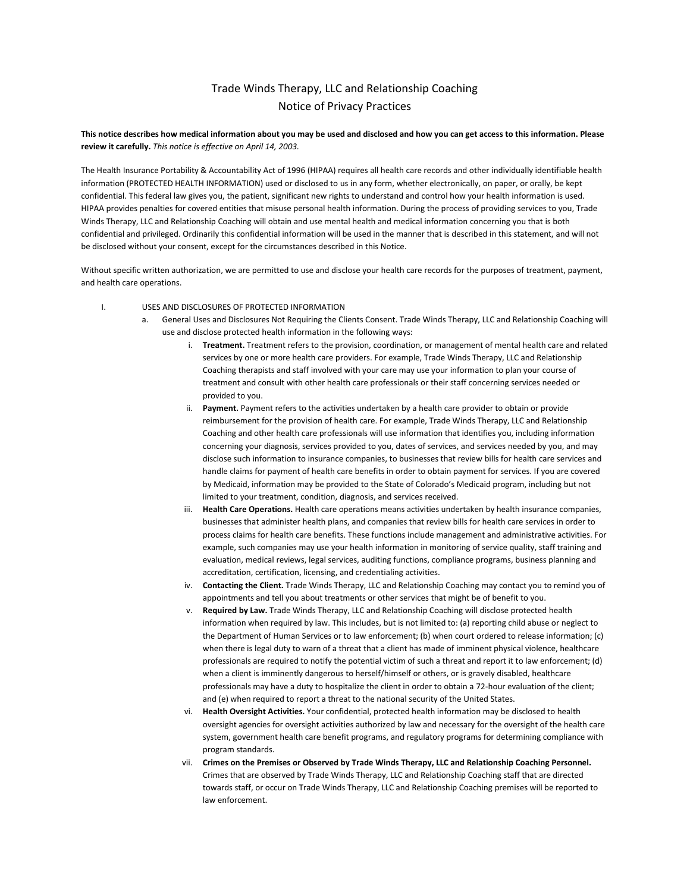# Trade Winds Therapy, LLC and Relationship Coaching Notice of Privacy Practices

This notice describes how medical information about you may be used and disclosed and how you can get access to this information. Please review it carefully. This notice is effective on April 14, 2003.

The Health Insurance Portability & Accountability Act of 1996 (HIPAA) requires all health care records and other individually identifiable health information (PROTECTED HEALTH INFORMATION) used or disclosed to us in any form, whether electronically, on paper, or orally, be kept confidential. This federal law gives you, the patient, significant new rights to understand and control how your health information is used. HIPAA provides penalties for covered entities that misuse personal health information. During the process of providing services to you, Trade Winds Therapy, LLC and Relationship Coaching will obtain and use mental health and medical information concerning you that is both confidential and privileged. Ordinarily this confidential information will be used in the manner that is described in this statement, and will not be disclosed without your consent, except for the circumstances described in this Notice.

Without specific written authorization, we are permitted to use and disclose your health care records for the purposes of treatment, payment, and health care operations.

- I. USES AND DISCLOSURES OF PROTECTED INFORMATION
	- General Uses and Disclosures Not Requiring the Clients Consent. Trade Winds Therapy, LLC and Relationship Coaching will use and disclose protected health information in the following ways:
		- i. Treatment. Treatment refers to the provision, coordination, or management of mental health care and related services by one or more health care providers. For example, Trade Winds Therapy, LLC and Relationship Coaching therapists and staff involved with your care may use your information to plan your course of treatment and consult with other health care professionals or their staff concerning services needed or provided to you.
		- ii. Payment. Payment refers to the activities undertaken by a health care provider to obtain or provide reimbursement for the provision of health care. For example, Trade Winds Therapy, LLC and Relationship Coaching and other health care professionals will use information that identifies you, including information concerning your diagnosis, services provided to you, dates of services, and services needed by you, and may disclose such information to insurance companies, to businesses that review bills for health care services and handle claims for payment of health care benefits in order to obtain payment for services. If you are covered by Medicaid, information may be provided to the State of Colorado's Medicaid program, including but not limited to your treatment, condition, diagnosis, and services received.
		- iii. Health Care Operations. Health care operations means activities undertaken by health insurance companies, businesses that administer health plans, and companies that review bills for health care services in order to process claims for health care benefits. These functions include management and administrative activities. For example, such companies may use your health information in monitoring of service quality, staff training and evaluation, medical reviews, legal services, auditing functions, compliance programs, business planning and accreditation, certification, licensing, and credentialing activities.
		- iv. Contacting the Client. Trade Winds Therapy, LLC and Relationship Coaching may contact you to remind you of appointments and tell you about treatments or other services that might be of benefit to you.
		- v. Required by Law. Trade Winds Therapy, LLC and Relationship Coaching will disclose protected health information when required by law. This includes, but is not limited to: (a) reporting child abuse or neglect to the Department of Human Services or to law enforcement; (b) when court ordered to release information; (c) when there is legal duty to warn of a threat that a client has made of imminent physical violence, healthcare professionals are required to notify the potential victim of such a threat and report it to law enforcement; (d) when a client is imminently dangerous to herself/himself or others, or is gravely disabled, healthcare professionals may have a duty to hospitalize the client in order to obtain a 72-hour evaluation of the client; and (e) when required to report a threat to the national security of the United States.
		- vi. Health Oversight Activities. Your confidential, protected health information may be disclosed to health oversight agencies for oversight activities authorized by law and necessary for the oversight of the health care system, government health care benefit programs, and regulatory programs for determining compliance with program standards.
		- vii. Crimes on the Premises or Observed by Trade Winds Therapy, LLC and Relationship Coaching Personnel. Crimes that are observed by Trade Winds Therapy, LLC and Relationship Coaching staff that are directed towards staff, or occur on Trade Winds Therapy, LLC and Relationship Coaching premises will be reported to law enforcement.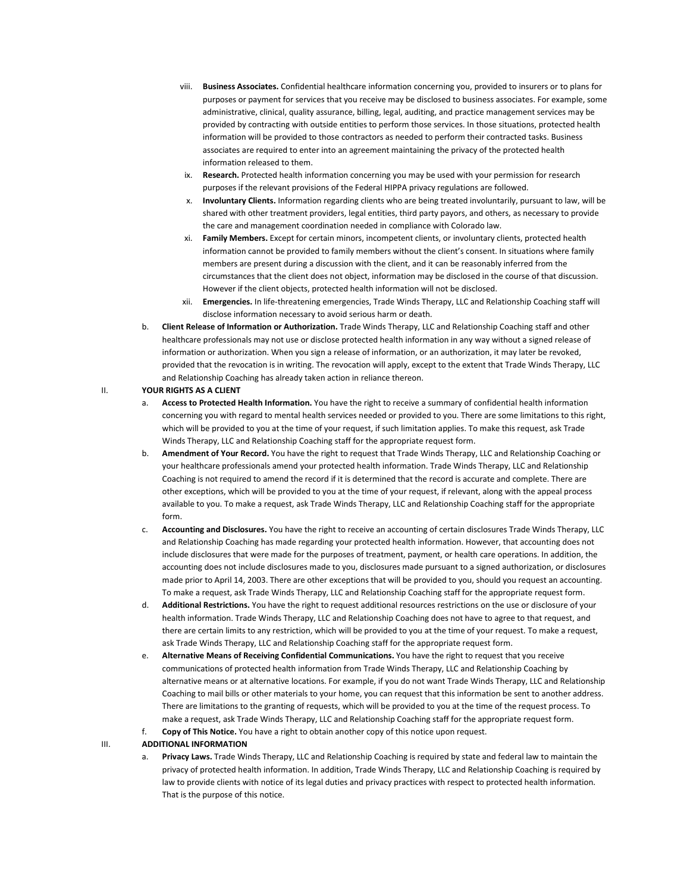- viii. Business Associates. Confidential healthcare information concerning you, provided to insurers or to plans for purposes or payment for services that you receive may be disclosed to business associates. For example, some administrative, clinical, quality assurance, billing, legal, auditing, and practice management services may be provided by contracting with outside entities to perform those services. In those situations, protected health information will be provided to those contractors as needed to perform their contracted tasks. Business associates are required to enter into an agreement maintaining the privacy of the protected health information released to them.
- ix. Research. Protected health information concerning you may be used with your permission for research purposes if the relevant provisions of the Federal HIPPA privacy regulations are followed.
- x. Involuntary Clients. Information regarding clients who are being treated involuntarily, pursuant to law, will be shared with other treatment providers, legal entities, third party payors, and others, as necessary to provide the care and management coordination needed in compliance with Colorado law.
- xi. Family Members. Except for certain minors, incompetent clients, or involuntary clients, protected health information cannot be provided to family members without the client's consent. In situations where family members are present during a discussion with the client, and it can be reasonably inferred from the circumstances that the client does not object, information may be disclosed in the course of that discussion. However if the client objects, protected health information will not be disclosed.
- xii. Emergencies. In life-threatening emergencies, Trade Winds Therapy, LLC and Relationship Coaching staff will disclose information necessary to avoid serious harm or death.
- b. Client Release of Information or Authorization. Trade Winds Therapy, LLC and Relationship Coaching staff and other healthcare professionals may not use or disclose protected health information in any way without a signed release of information or authorization. When you sign a release of information, or an authorization, it may later be revoked, provided that the revocation is in writing. The revocation will apply, except to the extent that Trade Winds Therapy, LLC and Relationship Coaching has already taken action in reliance thereon.

#### II. YOUR RIGHTS AS A CLIENT

- a. Access to Protected Health Information. You have the right to receive a summary of confidential health information concerning you with regard to mental health services needed or provided to you. There are some limitations to this right, which will be provided to you at the time of your request, if such limitation applies. To make this request, ask Trade Winds Therapy, LLC and Relationship Coaching staff for the appropriate request form.
- b. Amendment of Your Record. You have the right to request that Trade Winds Therapy, LLC and Relationship Coaching or your healthcare professionals amend your protected health information. Trade Winds Therapy, LLC and Relationship Coaching is not required to amend the record if it is determined that the record is accurate and complete. There are other exceptions, which will be provided to you at the time of your request, if relevant, along with the appeal process available to you. To make a request, ask Trade Winds Therapy, LLC and Relationship Coaching staff for the appropriate form.
- c. Accounting and Disclosures. You have the right to receive an accounting of certain disclosures Trade Winds Therapy, LLC and Relationship Coaching has made regarding your protected health information. However, that accounting does not include disclosures that were made for the purposes of treatment, payment, or health care operations. In addition, the accounting does not include disclosures made to you, disclosures made pursuant to a signed authorization, or disclosures made prior to April 14, 2003. There are other exceptions that will be provided to you, should you request an accounting. To make a request, ask Trade Winds Therapy, LLC and Relationship Coaching staff for the appropriate request form.
- d. Additional Restrictions. You have the right to request additional resources restrictions on the use or disclosure of your health information. Trade Winds Therapy, LLC and Relationship Coaching does not have to agree to that request, and there are certain limits to any restriction, which will be provided to you at the time of your request. To make a request, ask Trade Winds Therapy, LLC and Relationship Coaching staff for the appropriate request form.
- e. Alternative Means of Receiving Confidential Communications. You have the right to request that you receive communications of protected health information from Trade Winds Therapy, LLC and Relationship Coaching by alternative means or at alternative locations. For example, if you do not want Trade Winds Therapy, LLC and Relationship Coaching to mail bills or other materials to your home, you can request that this information be sent to another address. There are limitations to the granting of requests, which will be provided to you at the time of the request process. To make a request, ask Trade Winds Therapy, LLC and Relationship Coaching staff for the appropriate request form.
- f. Copy of This Notice. You have a right to obtain another copy of this notice upon request.

#### III. ADDITIONAL INFORMATION

Privacy Laws. Trade Winds Therapy, LLC and Relationship Coaching is required by state and federal law to maintain the privacy of protected health information. In addition, Trade Winds Therapy, LLC and Relationship Coaching is required by law to provide clients with notice of its legal duties and privacy practices with respect to protected health information. That is the purpose of this notice.